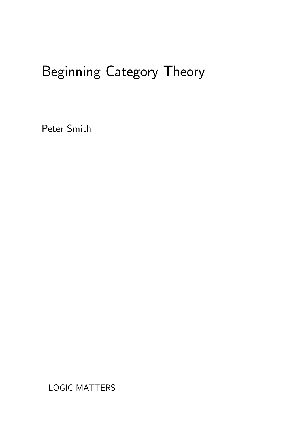# Beginning Category Theory

Peter Smith

LOGIC MATTERS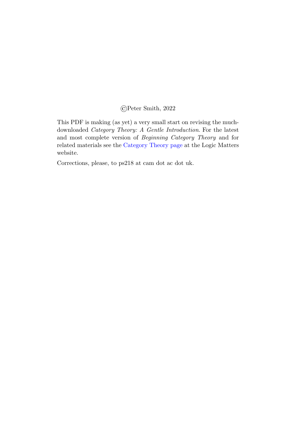#### ©Peter Smith, 2022

This PDF is making (as yet) a very small start on revising the muchdownloaded Category Theory: A Gentle Introduction. For the latest and most complete version of Beginning Category Theory and for related materials see the [Category Theory page](http://www.logicmatters.net/categories/) at the Logic Matters website.

Corrections, please, to ps218 at cam dot ac dot uk.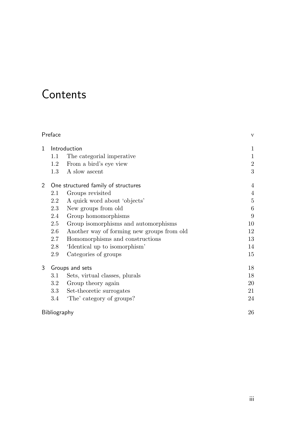## **Contents**

| Preface               | $\mathbf{V}$                        |                                            |                |
|-----------------------|-------------------------------------|--------------------------------------------|----------------|
| $\mathbf{1}$          | Introduction                        | 1                                          |                |
|                       | $1.1\,$                             | The categorial imperative                  | $\mathbf{1}$   |
|                       | 1.2                                 | From a bird's eye view                     | $\overline{2}$ |
|                       | $1.3\,$                             | A slow ascent                              | $\sqrt{3}$     |
| $\mathbf{2}^{\prime}$ | One structured family of structures |                                            | 4              |
|                       | 2.1                                 | Groups revisited                           | 4              |
|                       | 2.2                                 | A quick word about 'objects'               | $\overline{5}$ |
|                       | 2.3                                 | New groups from old                        | 6              |
|                       | 2.4                                 | Group homomorphisms                        | 9              |
|                       | 2.5                                 | Group isomorphisms and automorphisms       | 10             |
|                       | 2.6                                 | Another way of forming new groups from old | 12             |
|                       | 2.7                                 | Homomorphisms and constructions            | 13             |
|                       | 2.8                                 | 'Identical up to isomorphism'              | 14             |
|                       | 2.9                                 | Categories of groups                       | 15             |
| 3                     | Groups and sets                     |                                            | 18             |
|                       | $3.1\,$                             | Sets, virtual classes, plurals             | 18             |
|                       | 3.2                                 | Group theory again                         | 20             |
|                       | $3.3\,$                             | Set-theoretic surrogates                   | 21             |
|                       | 3.4                                 | 'The' category of groups?                  | 24             |
| Bibliography          | 26                                  |                                            |                |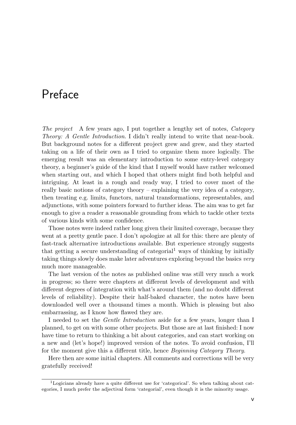### <span id="page-4-0"></span>Preface

The project A few years ago, I put together a lengthy set of notes, Category Theory: A Gentle Introduction. I didn't really intend to write that near-book. But background notes for a different project grew and grew, and they started taking on a life of their own as I tried to organize them more logically. The emerging result was an elementary introduction to some entry-level category theory, a beginner's guide of the kind that I myself would have rather welcomed when starting out, and which I hoped that others might find both helpful and intriguing. At least in a rough and ready way, I tried to cover most of the really basic notions of category theory – explaining the very idea of a category, then treating e.g. limits, functors, natural transformations, representables, and adjunctions, with some pointers forward to further ideas. The aim was to get far enough to give a reader a reasonable grounding from which to tackle other texts of various kinds with some confidence.

Those notes were indeed rather long given their limited coverage, because they went at a pretty gentle pace. I don't apologize at all for this: there are plenty of fast-track alternative introductions available. But experience strongly suggests that getting a secure understanding of categorial<sup>[1](#page-4-1)</sup> ways of thinking by initially taking things slowly does make later adventures exploring beyond the basics very much more manageable.

The last version of the notes as published online was still very much a work in progress; so there were chapters at different levels of development and with different degrees of integration with what's around them (and no doubt different levels of reliability). Despite their half-baked character, the notes have been downloaded well over a thousand times a month. Which is pleasing but also embarrassing, as I know how flawed they are.

I needed to set the Gentle Introduction aside for a few years, longer than I planned, to get on with some other projects. But those are at last finished: I now have time to return to thinking a bit about categories, and can start working on a new and (let's hope!) improved version of the notes. To avoid confusion, I'll for the moment give this a different title, hence Beginning Category Theory.

Here then are some initial chapters. All comments and corrections will be very gratefully received!

<span id="page-4-1"></span><sup>1</sup>Logicians already have a quite different use for 'categorical'. So when talking about categories, I much prefer the adjectival form 'categorial', even though it is the minority usage.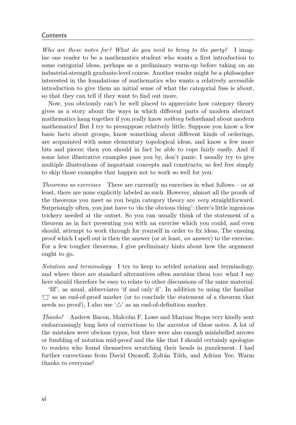#### **Contents**

Who are these notes for? What do you need to bring to the party? I imagine one reader to be a mathematics student who wants a first introduction to some categorial ideas, perhaps as a preliminary warm-up before taking on an industrial-strength graduate-level course. Another reader might be a philosopher interested in the foundations of mathematics who wants a relatively accessible introduction to give them an initial sense of what the categorial fuss is about, so that they can tell if they want to find out more.

Now, you obviously can't be well placed to appreciate how category theory gives us a story about the ways in which different parts of modern abstract mathematics hang together if you really know nothing beforehand about modern mathematics! But I try to presuppose relatively little. Suppose you know a few basic facts about groups, know something about different kinds of orderings, are acquainted with some elementary topological ideas, and know a few more bits and pieces; then you should in fact be able to cope fairly easily. And if some later illustrative examples pass you by, don't panic. I usually try to give multiple illustrations of important concepts and constructs; so feel free simply to skip those examples that happen not to work so well for you.

Theorems as exercises There are currently no exercises in what follows – or at least, there are none explicitly labeled as such. However, almost all the proofs of the theorems you meet as you begin category theory are very straightforward. Surprisingly often, you just have to 'do the obvious thing': there's little ingenious trickery needed at the outset. So you can usually think of the statement of a theorem as in fact presenting you with an exercise which you could, and even should, attempt to work through for yourself in order to fix ideas. The ensuing proof which I spell out is then the answer (or at least, an answer) to the exercise. For a few tougher theorems, I give preliminary hints about how the argument ought to go.

Notation and terminology I try to keep to settled notation and terminology, and where there are standard alternatives often mention them too: what I say here should therefore be easy to relate to other discussions of the same material.

'Iff', as usual, abbreviates 'if and only if'. In addition to using the familiar 'l' as an end-of-proof marker (or to conclude the statement of a theorem that needs no proof), I also use  $\Delta'$  as an end-of-definition marker.

Thanks! Andrew Bacon, Malcolm F. Lowe and Mariusz Stopa very kindly sent embarrassingly long lists of corrections to the ancestor of these notes. A lot of the mistakes were obvious typos, but there were also enough mislabelled arrows or fumbling of notation mid-proof and the like that I should certainly apologize to readers who found themselves scratching their heads in puzzlement. I had further corrections from David Ozonoff, Zoltán Tóth, and Adrian Yee. Warm thanks to everyone!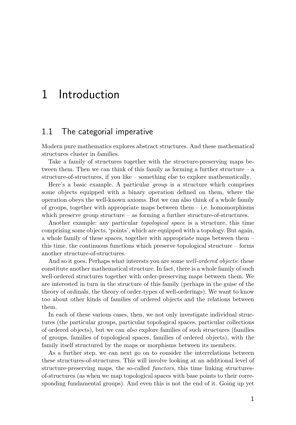### <span id="page-6-0"></span>1 Introduction

#### <span id="page-6-1"></span>1.1 The categorial imperative

Modern pure mathematics explores abstract structures. And these mathematical structures cluster in families.

Take a family of structures together with the structure-preserving maps between them. Then we can think of this family as forming a further structure  $- a$ structure-of-structures, if you like – something else to explore mathematically.

Here's a basic example. A particular group is a structure which comprises some objects equipped with a binary operation defined on them, where the operation obeys the well-known axioms. But we can also think of a whole family of groups, together with appropriate maps between them  $-$  i.e. homomorphisms which preserve group structure – as forming a further structure-of-structures.

Another example: any particular topological space is a structure, this time comprising some objects, 'points', which are equipped with a topology. But again, a whole family of these spaces, together with appropriate maps between them – this time, the continuous functions which preserve topological structure – forms another structure-of-structures.

And so it goes. Perhaps what interests you are some well-ordered objects: these constitute another mathematical structure. In fact, there is a whole family of such well-ordered structures together with order-preserving maps between them. We are interested in turn in the structure of this family (perhaps in the guise of the theory of ordinals, the theory of order-types of well-orderings). We want to know too about other kinds of families of ordered objects and the relations between them.

In each of these various cases, then, we not only investigate individual structures (the particular groups, particular topological spaces, particular collections of ordered objects), but we can also explore families of such structures (families of groups, families of topological spaces, families of ordered objects), with the family itself structured by the maps or morphisms between its members.

As a further step, we can next go on to consider the interrelations between these structures-of-structures. This will involve looking at an additional level of structure-preserving maps, the so-called functors, this time linking structuresof-structures (as when we map topological spaces with base points to their corresponding fundamental groups). And even this is not the end of it. Going up yet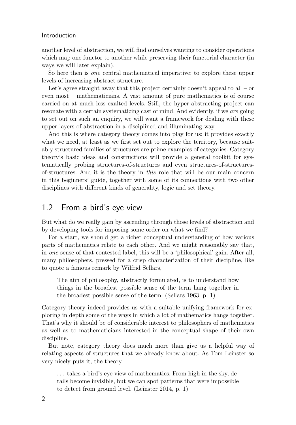#### Introduction

another level of abstraction, we will find ourselves wanting to consider operations which map one functor to another while preserving their functorial character (in ways we will later explain).

So here then is one central mathematical imperative: to explore these upper levels of increasing abstract structure.

Let's agree straight away that this project certainly doesn't appeal to all – or even most – mathematicians. A vast amount of pure mathematics is of course carried on at much less exalted levels. Still, the hyper-abstracting project can resonate with a certain systematizing cast of mind. And evidently, if we are going to set out on such an enquiry, we will want a framework for dealing with these upper layers of abstraction in a disciplined and illuminating way.

And this is where category theory comes into play for us: it provides exactly what we need, at least as we first set out to explore the territory, because suitably structured families of structures are prime examples of categories. Category theory's basic ideas and constructions will provide a general toolkit for systematically probing structures-of-structures and even structures-of-structuresof-structures. And it is the theory in this role that will be our main concern in this beginners' guide, together with some of its connections with two other disciplines with different kinds of generality, logic and set theory.

### <span id="page-7-0"></span>1.2 From a bird's eye view

But what do we really gain by ascending through those levels of abstraction and by developing tools for imposing some order on what we find?

For a start, we should get a richer conceptual understanding of how various parts of mathematics relate to each other. And we might reasonably say that, in one sense of that contested label, this will be a 'philosophical' gain. After all, many philosophers, pressed for a crisp characterization of their discipline, like to quote a famous remark by Wilfrid Sellars,

The aim of philosophy, abstractly formulated, is to understand how things in the broadest possible sense of the term hang together in the broadest possible sense of the term. [\(Sellars](#page-31-1) [1963,](#page-31-1) p. 1)

Category theory indeed provides us with a suitable unifying framework for exploring in depth some of the ways in which a lot of mathematics hangs together. That's why it should be of considerable interest to philosophers of mathematics as well as to mathematicians interested in the conceptual shape of their own discipline.

But note, category theory does much more than give us a helpful way of relating aspects of structures that we already know about. As Tom Leinster so very nicely puts it, the theory

. . . takes a bird's eye view of mathematics. From high in the sky, details become invisible, but we can spot patterns that were impossible to detect from ground level. [\(Leinster](#page-31-2) [2014,](#page-31-2) p. 1)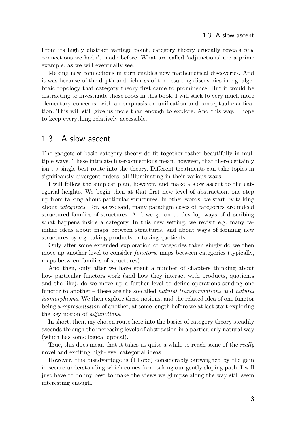From its highly abstract vantage point, category theory crucially reveals new connections we hadn't made before. What are called 'adjunctions' are a prime example, as we will eventually see.

Making new connections in turn enables new mathematical discoveries. And it was because of the depth and richness of the resulting discoveries in e.g. algebraic topology that category theory first came to prominence. But it would be distracting to investigate those roots in this book. I will stick to very much more elementary concerns, with an emphasis on unification and conceptual clarification. This will still give us more than enough to explore. And this way, I hope to keep everything relatively accessible.

#### <span id="page-8-0"></span>1.3 A slow ascent

The gadgets of basic category theory do fit together rather beautifully in multiple ways. These intricate interconnections mean, however, that there certainly isn't a single best route into the theory. Different treatments can take topics in significantly divergent orders, all illuminating in their various ways.

I will follow the simplest plan, however, and make a slow ascent to the categorial heights. We begin then at that first new level of abstraction, one step up from talking about particular structures. In other words, we start by talking about categories. For, as we said, many paradigm cases of categories are indeed structured-families-of-structures. And we go on to develop ways of describing what happens inside a category. In this new setting, we revisit e.g. many familiar ideas about maps between structures, and about ways of forming new structures by e.g. taking products or taking quotients.

Only after some extended exploration of categories taken singly do we then move up another level to consider *functors*, maps between categories (typically, maps between families of structures).

And then, only after we have spent a number of chapters thinking about how particular functors work (and how they interact with products, quotients and the like), do we move up a further level to define operations sending one functor to another – these are the so-called natural transformations and natural isomorphisms. We then explore these notions, and the related idea of one functor being a representation of another, at some length before we at last start exploring the key notion of adjunctions.

In short, then, my chosen route here into the basics of category theory steadily ascends through the increasing levels of abstraction in a particularly natural way (which has some logical appeal).

True, this does mean that it takes us quite a while to reach some of the *really* novel and exciting high-level categorial ideas.

However, this disadvantage is (I hope) considerably outweighed by the gain in secure understanding which comes from taking our gently sloping path. I will just have to do my best to make the views we glimpse along the way still seem interesting enough.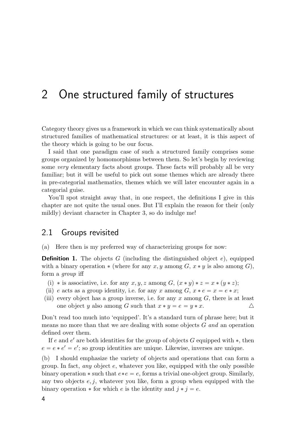## <span id="page-9-0"></span>2 One structured family of structures

Category theory gives us a framework in which we can think systematically about structured families of mathematical structures: or at least, it is this aspect of the theory which is going to be our focus.

I said that one paradigm case of such a structured family comprises some groups organized by homomorphisms between them. So let's begin by reviewing some *very* elementary facts about groups. These facts will probably all be very familiar; but it will be useful to pick out some themes which are already there in pre-categorial mathematics, themes which we will later encounter again in a categorial guise.

You'll spot straight away that, in one respect, the definitions I give in this chapter are not quite the usual ones. But I'll explain the reason for their (only mildly) deviant character in Chapter [3,](#page-23-0) so do indulge me!

#### <span id="page-9-1"></span>2.1 Groups revisited

(a) Here then is my preferred way of characterizing groups for now:

**Definition 1.** The objects G (including the distinguished object  $e$ ), equipped with a binary operation  $*$  (where for any x, y among G,  $x * y$  is also among G), form a group iff

- (i) \* is associative, i.e. for any x, y, z among G,  $(x * y) * z = x * (y * z);$
- (ii) e acts as a group identity, i.e. for any x among  $G, x * e = x = e * x$ ;
- (iii) every object has a group inverse, i.e. for any x among  $G$ , there is at least one object y also among G such that  $x * y = e = y * x$ .

Don't read too much into 'equipped'. It's a standard turn of phrase here; but it means no more than that we are dealing with some objects  $G$  and an operation defined over them.

If e and  $e'$  are both identities for the group of objects G equipped with  $*$ , then  $e = e * e' = e'$ ; so group identities are unique. Likewise, inverses are unique.

(b) I should emphasize the variety of objects and operations that can form a group. In fact, *any* object  $e$ , whatever you like, equipped with the only possible binary operation  $\ast$  such that  $e \ast e = e$ , forms a trivial one-object group. Similarly, any two objects  $e, j$ , whatever you like, form a group when equipped with the binary operation  $*$  for which e is the identity and  $j * j = e$ .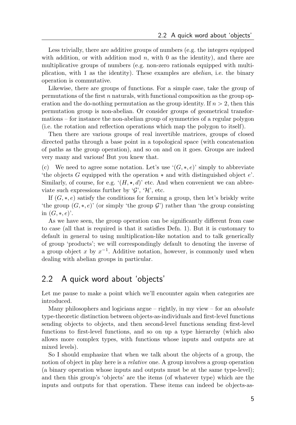Less trivially, there are additive groups of numbers (e.g. the integers equipped with addition, or with addition mod  $n$ , with 0 as the identity), and there are multiplicative groups of numbers (e.g. non-zero rationals equipped with multiplication, with 1 as the identity). These examples are abelian, i.e. the binary operation is commutative.

Likewise, there are groups of functions. For a simple case, take the group of permutations of the first  $n$  naturals, with functional composition as the group operation and the do-nothing permutation as the group identity. If  $n > 2$ , then this permutation group is non-abelian. Or consider groups of geometrical transformations – for instance the non-abelian group of symmetries of a regular polygon (i.e. the rotation and reflection operations which map the polygon to itself).

Then there are various groups of real invertible matrices, groups of closed directed paths through a base point in a topological space (with concatenation of paths as the group operation), and so on and on it goes. Groups are indeed very many and various! But you knew that.

(c) We need to agree some notation. Let's use  $\zeta(G, *, e)$ ' simply to abbreviate 'the objects G equipped with the operation  $*$  and with distinguished object  $e'$ . Similarly, of course, for e.g.  $\mathcal{L}(H, \star, d)$  etc. And when convenient we can abbreviate such expressions further by  $\mathcal{G}'$ ,  $\mathcal{H}'$ , etc.

If  $(G, *, e)$  satisfy the conditions for forming a group, then let's briskly write 'the group  $(G, *, e)$ ' (or simply 'the group  $\mathcal{G}'$ ) rather than 'the group consisting in  $(G, *, e)$ .

As we have seen, the group operation can be significantly different from case to case (all that is required is that it satisfies Defn. 1). But it is customary to default in general to using multiplication-like notation and to talk generically of group 'products'; we will correspondingly default to denoting the inverse of a group object x by  $x^{-1}$ . Additive notation, however, is commonly used when dealing with abelian groups in particular.

#### <span id="page-10-0"></span>2.2 A quick word about 'objects'

Let me pause to make a point which we'll encounter again when categories are introduced.

Many philosophers and logicians argue – rightly, in my view – for an *absolute* type-theoretic distinction between objects-as-individuals and first-level functions sending objects to objects, and then second-level functions sending first-level functions to first-level functions, and so on up a type hierarchy (which also allows more complex types, with functions whose inputs and outputs are at mixed levels).

So I should emphasize that when we talk about the objects of a group, the notion of object in play here is a *relative* one. A group involves a group operation (a binary operation whose inputs and outputs must be at the same type-level); and then this group's 'objects' are the items (of whatever type) which are the inputs and outputs for that operation. These items can indeed be objects-as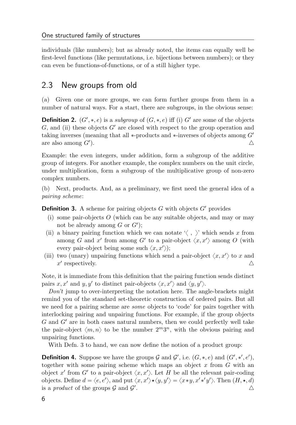individuals (like numbers); but as already noted, the items can equally well be first-level functions (like permutations, i.e. bijections between numbers); or they can even be functions-of-functions, or of a still higher type.

### <span id="page-11-0"></span>2.3 New groups from old

(a) Given one or more groups, we can form further groups from them in a number of natural ways. For a start, there are subgroups, in the obvious sense:

**Definition 2.**  $(G', *, e)$  is a subgroup of  $(G, *, e)$  iff (i) G' are some of the objects  $G$ , and (ii) these objects  $G'$  are closed with respect to the group operation and taking inverses (meaning that all  $*$ -products and  $*$ -inverses of objects among  $G'$ are also among  $G'$ ). ).  $\triangle$ 

Example: the even integers, under addition, form a subgroup of the additive group of integers. For another example, the complex numbers on the unit circle, under multiplication, form a subgroup of the multiplicative group of non-zero complex numbers.

(b) Next, products. And, as a preliminary, we first need the general idea of a pairing scheme:

<span id="page-11-1"></span>**Definition 3.** A scheme for pairing objects G with objects  $G'$  provides

- (i) some pair-objects  $O$  (which can be any suitable objects, and may or may not be already among  $G$  or  $G'$ ;
- (ii) a binary pairing function which we can notate  $\langle , \rangle$  which sends x from among G and x' from among G' to a pair-object  $\langle x, x' \rangle$  among O (with every pair-object being some such  $\langle x, x' \rangle$ ;
- (iii) two (unary) unpairing functions which send a pair-object  $\langle x, x' \rangle$  to x and  $x'$  respectively.

Note, it is immediate from this definition that the pairing function sends distinct pairs x, x' and y, y' to distinct pair-objects  $\langle x, x' \rangle$  and  $\langle y, y' \rangle$ .

Don't jump to over-interpreting the notation here. The angle-brackets might remind you of the standard set-theoretic construction of ordered pairs. But all we need for a pairing scheme are some objects to 'code' for pairs together with interlocking pairing and unpairing functions. For example, if the group objects  $G$  and  $G'$  are in both cases natural numbers, then we could perfectly well take the pair-object  $\langle m, n \rangle$  to be the number  $2^m 3^n$ , with the obvious pairing and unpairing functions.

With Defn. [3](#page-11-1) to hand, we can now define the notion of a product group:

**Definition 4.** Suppose we have the groups  $\mathcal G$  and  $\mathcal G'$ , i.e.  $(G, *, e)$  and  $(G', *, e'),$ together with some pairing scheme which maps an object  $x$  from  $G$  with an object x' from G' to a pair-object  $\langle x, x' \rangle$ . Let H be all the relevant pair-coding objects. Define  $d = \langle e, e' \rangle$ , and put  $\langle x, x' \rangle \star \langle y, y' \rangle = \langle x * y, x' * 'y' \rangle$ . Then  $(H, \star, d)$ is a *product* of the groups  $\mathcal G$  and  $\mathcal G'$ . And the contract of  $\Delta$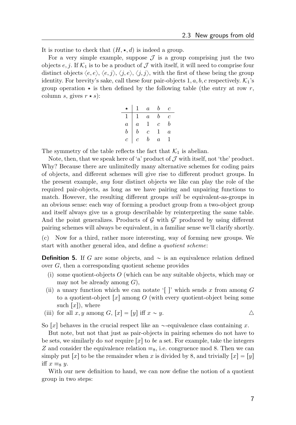It is routine to check that  $(H, \star, d)$  is indeed a group.

For a very simple example, suppose  $\mathcal I$  is a group comprising just the two objects e, j. If  $\mathcal{K}_1$  is to be a product of  $\mathcal J$  with itself, it will need to comprise four distinct objects  $\langle e, e \rangle, \langle e, j \rangle, \langle j, e \rangle, \langle j, j \rangle$ , with the first of these being the group identity. For brevity's sake, call these four pair-objects  $1, a, b, c$  respectively.  $\mathcal{K}_1$ 's group operation  $\star$  is then defined by the following table (the entry at row r, column s, gives  $r \star s$ :

|                  | $\,1$            | $\overline{a}$ | b              | $\overline{c}$ |
|------------------|------------------|----------------|----------------|----------------|
|                  | $\mathbf{1}$     | $\overline{a}$ | b              | Ċ              |
| $\overline{a}$   | $\overline{a}$   |                | $\overline{c}$ | h              |
| $\boldsymbol{b}$ | $\boldsymbol{b}$ | $\bar{c}$      |                | $\overline{a}$ |
| $\overline{c}$   | $\overline{c}$   | h              | $\it a$        |                |

The symmetry of the table reflects the fact that  $\mathcal{K}_1$  is abelian.

Note, then, that we speak here of 'a' product of  $\mathcal J$  with itself, not 'the' product. Why? Because there are unlimitedly many alternative schemes for coding pairs of objects, and different schemes will give rise to different product groups. In the present example, any four distinct objects we like can play the role of the required pair-objects, as long as we have pairing and unpairing functions to match. However, the resulting different groups will be equivalent-as-groups in an obvious sense: each way of forming a product group from a two-object group and itself always give us a group describable by reinterpreting the same table. And the point generalizes. Products of  $G$  with  $G'$  produced by using different pairing schemes will always be equivalent, in a familiar sense we'll clarify shortly.

(c) Now for a third, rather more interesting, way of forming new groups. We start with another general idea, and define a quotient scheme:

**Definition 5.** If G are some objects, and  $\sim$  is an equivalence relation defined over G, then a corresponding quotient scheme provides

- (i) some quotient-objects  $O$  (which can be any suitable objects, which may or may not be already among  $G$ ),
- (ii) a unary function which we can notate '[]' which sends x from among  $G$ to a quotient-object  $|x|$  among O (with every quotient-object being some such  $[x]$ , where
- (iii) for all  $x, y$  among  $G, [x] = [y]$  iff  $x \sim y$ .

So  $x$  behaves in the crucial respect like an  $\sim$ -equivalence class containing x.

But note, but not that just as pair-objects in pairing schemes do not have to be sets, we similarly do *not* require  $[x]$  to be a set. For example, take the integers Z and consider the equivalence relation  $\equiv_8$ , i.e. congruence mod 8. Then we can simply put  $[x]$  to be the remainder when x is divided by 8, and trivially  $[x] = [y]$ iff  $x \equiv_8 y$ .

With our new definition to hand, we can now define the notion of a quotient group in two steps: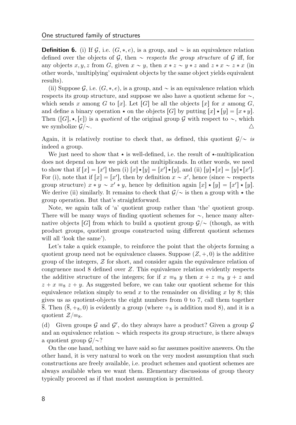**Definition 6.** (i) If G, i.e.  $(G, *, e)$ , is a group, and  $\sim$  is an equivalence relation defined over the objects of G, then  $\sim$  respects the group structure of G iff, for any objects x, y, z from G, given  $x \sim y$ , then  $x * z \sim y * z$  and  $z * x \sim z * x$  (in other words, 'multiplying' equivalent objects by the same object yields equivalent results).

(ii) Suppose G, i.e.  $(G, *, e)$ , is a group, and  $\sim$  is an equivalence relation which respects its group structure, and suppose we also have a quotient scheme for  $\sim$ , which sends x among G to [x]. Let [G] be all the objects [x] for x among G, and define a binary operation  $\star$  on the objects  $[G]$  by putting  $[x]\star [y] = [x * y]$ . Then  $([G], \star, [e])$  is a quotient of the original group G with respect to  $\sim$ , which we symbolize  $\mathcal{G}/\sim$ .

Again, it is relatively routine to check that, as defined, this quotient  $\mathcal{G}/\sim i\mathcal{S}$ indeed a group.

We just need to show that  $\star$  is well-defined, i.e. the result of  $\star$ -multiplication does not depend on how we pick out the multiplicands. In other words, we need to show that if  $[x] = [x']$  then (i)  $[x] \star [y] = [x'] \star [y]$ , and (ii)  $[y] \star [x] = [y] \star [x']$ . For (i), note that if  $[x] = [x']$ , then by definition  $x \sim x'$ , hence (since  $\sim$  respects group structure)  $x * y \sim x' * y$ , hence by definition again  $[x] * [y] = [x'] * [y]$ . We derive (ii) similarly. It remains to check that  $\mathcal{G}/\sim$  is then a group with  $\star$  the group operation. But that's straightforward.

Note, we again talk of 'a' quotient group rather than 'the' quotient group. There will be many ways of finding quotient schemes for  $\sim$ , hence many alternative objects [G] from which to build a quotient group  $\mathcal{G}/\sim$  (though, as with product groups, quotient groups constructed using different quotient schemes will all 'look the same').

Let's take a quick example, to reinforce the point that the objects forming a quotient group need not be equivalence classes. Suppose  $(Z, +, 0)$  is the additive group of the integers,  $Z$  for short, and consider again the equivalence relation of congruence mod 8 defined over Z. This equivalence relation evidently respects the additive structure of the integers; for if  $x \equiv_8 y$  then  $x + z \equiv_8 y + z$  and  $z + x \equiv_8 z + y$ . As suggested before, we can take our quotient scheme for this equivalence relation simply to send x to the remainder on dividing x by 8; this gives us as quotient-objects the eight numbers from 0 to 7, call them together 8. Then  $(\overline{8}, +_8, 0)$  is evidently a group (where  $+_8$  is addition mod 8), and it is a quotient  $\mathcal{Z}/\equiv_8$ .

(d) Given groups  $G$  and  $G'$ , do they always have a product? Given a group  $G$ and an equivalence relation  $\sim$  which respects its group structure, is there always a quotient group  $\mathcal{G}/\sim$ ?

On the one hand, nothing we have said so far assumes positive answers. On the other hand, it is very natural to work on the very modest assumption that such constructions are freely available, i.e. product schemes and quotient schemes are always available when we want them. Elementary discussions of group theory typically proceed as if that modest assumption is permitted.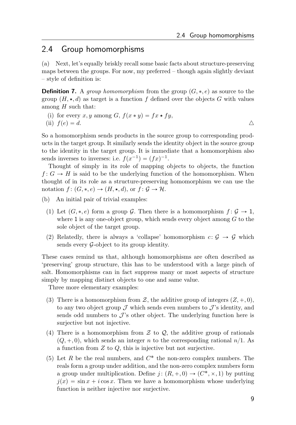#### <span id="page-14-0"></span>2.4 Group homomorphisms

(a) Next, let's equally briskly recall some basic facts about structure-preserving maps between the groups. For now, my preferred – though again slightly deviant – style of definition is:

**Definition 7.** A group homomorphism from the group  $(G, *, e)$  as source to the group  $(H, \star, d)$  as target is a function f defined over the objects G with values among  $H$  such that:

(i) for every x, y among G,  $f(x * y) = fx * fy$ ,

(ii) 
$$
f(e) = d
$$
.

So a homomorphism sends products in the source group to corresponding products in the target group. It similarly sends the identity object in the source group to the identity in the target group. It is immediate that a homomorphism also sends inverses to inverses: i.e.  $f(x^{-1}) = (fx)^{-1}$ .

Thought of simply in its role of mapping objects to objects, the function  $f: G \to H$  is said to be the underlying function of the homomorphism. When thought of in its role as a structure-preserving homomorphism we can use the notation  $f : (G, *, e) \to (H, *, d)$ , or  $f : \mathcal{G} \to \mathcal{H}$ .

- (b) An initial pair of trivial examples:
	- (1) Let  $(G, *, e)$  form a group G. Then there is a homomorphism  $f : \mathcal{G} \to 1$ , where 1 is any one-object group, which sends every object among  $G$  to the sole object of the target group.
	- (2) Relatedly, there is always a 'collapse' homomorphism  $c: \mathcal{G} \to \mathcal{G}$  which sends every  $\mathcal{G}\text{-object}$  to its group identity.

These cases remind us that, although homomorphisms are often described as 'preserving' group structure, this has to be understood with a large pinch of salt. Homomorphisms can in fact suppress many or most aspects of structure simply by mapping distinct objects to one and same value.

Three more elementary examples:

- (3) There is a homomorphism from  $\mathcal{Z}$ , the additive group of integers  $(Z, +, 0)$ , to any two object group  $\mathcal J$  which sends even numbers to  $\mathcal J$ 's identity, and sends odd numbers to  $\mathcal{J}$ 's other object. The underlying function here is surjective but not injective.
- (4) There is a homomorphism from  $\mathcal Z$  to  $\mathcal Q$ , the additive group of rationals  $(Q, +, 0)$ , which sends an integer n to the corresponding rational  $n/1$ . As a function from  $Z$  to  $Q$ , this is injective but not surjective.
- (5) Let  $R$  be the real numbers, and  $C^*$  the non-zero complex numbers. The reals form a group under addition, and the non-zero complex numbers form a group under multiplication. Define  $j : (R, +, 0) \rightarrow (C^*, \times, 1)$  by putting  $j(x) = \sin x + i \cos x$ . Then we have a homomorphism whose underlying function is neither injective nor surjective.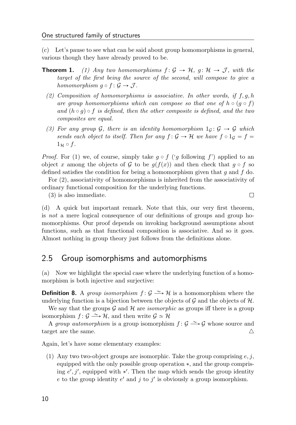(c) Let's pause to see what can be said about group homomorphisms in general, various though they have already proved to be.

- <span id="page-15-1"></span>**Theorem 1.** (1) Any two homomorphisms  $f : \mathcal{G} \to \mathcal{H}$ ,  $g : \mathcal{H} \to \mathcal{J}$ , with the target of the first being the source of the second, will compose to give a homomorphism  $q \circ f : \mathcal{G} \to \mathcal{J}$ .
	- (2) Composition of homomorphisms is associative. In other words, if  $f, g, h$ are group homomorphisms which can compose so that one of  $h \circ (g \circ f)$ and  $(h \circ q) \circ f$  is defined, then the other composite is defined, and the two composites are equal.
	- (3) For any group G, there is an identity homomorphism  $1_G: \mathcal{G} \to \mathcal{G}$  which sends each object to itself. Then for any  $f: \mathcal{G} \to \mathcal{H}$  we have  $f \circ 1_{\mathcal{G}} = f =$  $1_H \circ f$ .

*Proof.* For (1) we, of course, simply take  $q \circ f'$  ('q following f') applied to an object x among the objects of G to be  $g(f(x))$  and then check that  $g \circ f$  so defined satisfies the condition for being a homomorphism given that q and f do.

For (2), associativity of homomorphisms is inherited from the associativity of ordinary functional composition for the underlying functions.

 $\Box$ 

(3) is also immediate.

(d) A quick but important remark. Note that this, our very first theorem, is not a mere logical consequence of our definitions of groups and group homomorphisms. Our proof depends on invoking background assumptions about functions, such as that functional composition is associative. And so it goes. Almost nothing in group theory just follows from the definitions alone.

### <span id="page-15-0"></span>2.5 Group isomorphisms and automorphisms

(a) Now we highlight the special case where the underlying function of a homomorphism is both injective and surjective:

**Definition 8.** A group isomorphism  $f : \mathcal{G} \longrightarrow \mathcal{H}$  is a homomorphism where the underlying function is a bijection between the objects of  $\mathcal G$  and the objects of  $\mathcal H$ .

We say that the groups  $\mathcal G$  and  $\mathcal H$  are *isomorphic* as groups iff there is a group isomorphism  $f : \mathcal{G} \longrightarrow \mathcal{H}$ , and then write  $\mathcal{G} \simeq \mathcal{H}$ 

A group automorphism is a group isomorphism  $f: \mathcal{G} \longrightarrow \mathcal{G}$  whose source and target are the same.  $\triangle$ 

Again, let's have some elementary examples:

(1) Any two two-object groups are isomorphic. Take the group comprising  $e, j$ , equipped with the only possible group operation  $\ast$ , and the group comprising  $e', j'$ , equipped with  $*'$ . Then the map which sends the group identity e to the group identity  $e'$  and j to j' is obviously a group isomorphism.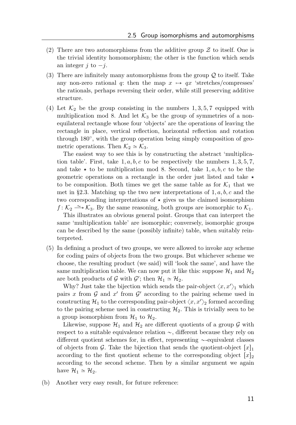- (2) There are two automorphisms from the additive group  $\mathcal Z$  to itself. One is the trivial identity homomorphism; the other is the function which sends an integer j to  $-j$ .
- (3) There are infinitely many automorphisms from the group  $\mathcal Q$  to itself. Take any non-zero rational q: then the map  $x \mapsto qx$  'stretches/compresses' the rationals, perhaps reversing their order, while still preserving additive structure.
- (4) Let  $\mathcal{K}_2$  be the group consisting in the numbers 1, 3, 5, 7 equipped with multiplication mod 8. And let  $\mathcal{K}_3$  be the group of symmetries of a nonequilateral rectangle whose four 'objects' are the operations of leaving the rectangle in place, vertical reflection, horizontal reflection and rotation through 180°, with the group operation being simply composition of geometric operations. Then  $\mathcal{K}_2 \simeq \mathcal{K}_3$ .

The easiest way to see this is by constructing the abstract 'multiplication table'. First, take  $1, a, b, c$  to be respectively the numbers  $1, 3, 5, 7$ , and take  $\star$  to be multiplication mod 8. Second, take 1, a, b, c to be the geometric operations on a rectangle in the order just listed and take  $\star$ to be composition. Both times we get the same table as for  $\mathcal{K}_1$  that we met in §[2.3.](#page-11-0) Matching up the two new interpretations of  $1, a, b, c$  and the two corresponding interpretations of  $\star$  gives us the claimed isomorphism  $f: \mathcal{K}_2 \longrightarrow \mathcal{K}_3$ . By the same reasoning, both groups are isomorphic to  $\mathcal{K}_1$ .

This illustrates an obvious general point. Groups that can interpret the same 'multiplication table' are isomorphic; conversely, isomorphic groups can be described by the same (possibly infinite) table, when suitably reinterpreted.

(5) In defining a product of two groups, we were allowed to invoke any scheme for coding pairs of objects from the two groups. But whichever scheme we choose, the resulting product (we said) will 'look the same', and have the same multiplication table. We can now put it like this: suppose  $\mathcal{H}_1$  and  $\mathcal{H}_2$ are both products of  $\mathcal G$  with  $\mathcal G'$ ; then  $\mathcal H_1 \simeq \mathcal H_2$ .

Why? Just take the bijection which sends the pair-object  $\langle x, x' \rangle$  which pairs x from  $\mathcal G$  and  $x'$  from  $\mathcal G'$  according to the pairing scheme used in constructing  $\mathcal{H}_1$  to the corresponding pair-object  $\langle x, x' \rangle_2$  formed according to the pairing scheme used in constructing  $\mathcal{H}_2$ . This is trivially seen to be a group isomorphism from  $\mathcal{H}_1$  to  $\mathcal{H}_2$ .

Likewise, suppose  $\mathcal{H}_1$  and  $\mathcal{H}_2$  are different quotients of a group  $\mathcal G$  with respect to a suitable equivalence relation  $\sim$ , different because they rely on different quotient schemes for, in effect, representing  $\sim$ -equivalent classes of objects from G. Take the bijection that sends the quotient-object  $[x]_1$ according to the first quotient scheme to the corresponding object  $[x]_2$ according to the second scheme. Then by a similar argument we again have  $\mathcal{H}_1 \simeq \mathcal{H}_2$ .

(b) Another very easy result, for future reference: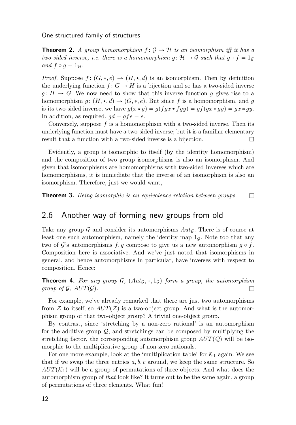**Theorem 2.** A group homomorphism  $f: \mathcal{G} \to \mathcal{H}$  is an isomorphism iff it has a two-sided inverse, i.e. there is a homomorphism  $g: \mathcal{H} \to \mathcal{G}$  such that  $g \circ f = 1_{\mathcal{G}}$ and  $f \circ g = 1_H$ .

*Proof.* Suppose  $f: (G, *, e) \rightarrow (H, *, d)$  is an isomorphism. Then by definition the underlying function  $f: G \to H$  is a bijection and so has a two-sided inverse  $g: H \to G$ . We now need to show that this inverse function g gives rise to a homomorphism  $g: (H, \star, d) \to (G, \ast, e)$ . But since f is a homomorphism, and g is its two-sided inverse, we have  $g(x \star y) = g(fgx \star fgy) = gf(gx * gy) = gx * gy$ . In addition, as required,  $qd = qfe = e$ .

Conversely, suppose  $f$  is a homomorphism with a two-sided inverse. Then its underlying function must have a two-sided inverse; but it is a familiar elementary result that a function with a two-sided inverse is a bijection.  $\Box$ 

Evidently, a group is isomorphic to itself (by the identity homomorphism) and the composition of two group isomorphisms is also an isomorphism. And given that isomorphisms are homomorphisms with two-sided inverses which are homomorphisms, it is immediate that the inverse of an isomorphism is also an isomorphism. Therefore, just we would want,

**Theorem 3.** Being isomorphic is an equivalence relation between groups.  $\Box$ 

### <span id="page-17-0"></span>2.6 Another way of forming new groups from old

Take any group  $\mathcal G$  and consider its automorphisms  $Aut_{\mathcal G}$ . There is of course at least one such automorphism, namely the identity map  $1<sub>G</sub>$ . Note too that any two of G's automorphisms f, g compose to give us a new automorphism  $g \circ f$ . Composition here is associative. And we've just noted that isomorphisms in general, and hence automorphisms in particular, have inverses with respect to composition. Hence:

**Theorem 4.** For any group  $\mathcal{G}$ ,  $(Aut_{\mathcal{G}}, \circ, 1_G)$  form a group, the automorphism group of  $\mathcal{G}$ ,  $AUT(\mathcal{G})$ .

For example, we've already remarked that there are just two automorphisms from Z to itself; so  $AUT(\mathcal{Z})$  is a two-object group. And what is the automorphism group of that two-object group? A trivial one-object group.

By contrast, since 'stretching by a non-zero rational' is an automorphism for the additive group Q, and stretchings can be composed by multiplying the stretching factor, the corresponding automorphism group  $AUT(Q)$  will be isomorphic to the multiplicative group of non-zero rationals.

For one more example, look at the 'multiplication table' for  $K_1$  again. We see that if we swap the three entries  $a, b, c$  around, we keep the same structure. So  $AUT(\mathcal{K}_1)$  will be a group of permutations of three objects. And what does the automorphism group of that look like? It turns out to be the same again, a group of permutations of three elements. What fun!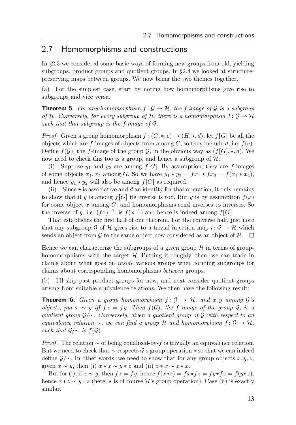#### <span id="page-18-0"></span>2.7 Homomorphisms and constructions

In §[2.3](#page-11-0) we considered some basic ways of forming new groups from old, yielding subgroups, product groups and quotient groups. In §[2.4](#page-14-0) we looked at structurepreserving maps between groups. We now bring the two themes together.

(a) For the simplest case, start by noting how homomorphisms give rise to subgroups and vice versa.

**Theorem 5.** For any homomorphism  $f: G \to H$ , the f-image of G is a subgroup of H. Conversely, for every subgroup of H, there is a homomorphism  $f: \mathcal{G} \to \mathcal{H}$ such that that subgroup is the f-image of  $\mathcal G$ .

*Proof.* Given a group homomorphism  $f : (G, *, e) \to (H, *, d)$ , let  $f[G]$  be all the objects which are f-images of objects from among G, so they include d, i.e.  $f(e)$ . Define  $f(\mathcal{G})$ , the f-image of the group  $\mathcal{G}$ , in the obvious way as  $(f[G], \star, d)$ . We now need to check this too is a group, and hence a subgroup of  $H$ .

(i) Suppose  $y_1$  and  $y_2$  are among  $f[G]$ . By assumption, they are f-images of some objects  $x_1, x_2$  among G. So we have  $y_1 \star y_2 = fx_1 \star fx_2 = f(x_1 * x_2)$ , and hence  $y_1 \star y_2$  will also be among  $f[G]$  as required.

(ii) Since  $\star$  is associative and d an identity for that operation, it only remains to show that if y is among  $f[G]$  its inverse is too. But y is by assumption  $f(x)$ for some object  $x$  among  $G$ , and homomorphisms send inverses to inverses. So the inverse of y, i.e.  $(fx)^{-1}$ , is  $f(x^{-1})$  and hence is indeed among  $f[G]$ .

That establishes the first half of our theorem. For the converse half, just note that any subgroup G of H gives rise to a trivial injection map  $i: \mathcal{G} \to \mathcal{H}$  which sends an object from G to the same object now considered as an object of  $\mathcal{H}$ .  $\Box$ 

Hence we can characterize the subgroups of a given group  $\mathcal{H}$  in terms of grouphomomorphisms with the target  $H$ . Putting it roughly, then, we can trade in claims about what goes on inside various groups when forming subgroups for claims about corresponding homomorphisms between groups.

(b) I'll skip past product groups for now, and next consider quotient groups arising from suitable equivalence relations. We then have the following result:

**Theorem 6.** Given a group homomorphism  $f: \mathcal{G} \rightarrow \mathcal{H}$ , and x, y among  $\mathcal{G}'s$ objects, put  $x \sim y$  iff  $fx = fy$ . Then  $f(\mathcal{G})$ , the f-image of the group  $\mathcal{G}$ , is a quotient group  $\mathcal{G}/\sim$ . Conversely, given a quotient group of  $\mathcal G$  with respect to an equivalence relation  $\sim$ , we can find a group H and homomorphism  $f: \mathcal{G} \to \mathcal{H}$ , such that  $\mathcal{G}/\sim$  is  $f(\mathcal{G})$ .

*Proof.* The relation  $\sim$  of being equalized-by-f is trivially an equivalence relation. But we need to check that  $\sim$  respects G's group operation  $*$  so that we can indeed define  $\mathcal{G}/\sim$ . In other words, we need to show that for any group objects x, y, z, given  $x \sim y$ , then (i)  $x * z \sim y * z$  and (ii)  $z * x \sim z * x$ .

But for (i), if  $x \sim y$ , then  $fx = fy$ , hence  $f(x*z) = fx*fz = fy*fz = f(y*z)$ , hence  $x * z \sim y * z$  (here,  $\star$  is of course H's group operation). Case (ii) is exactly similar.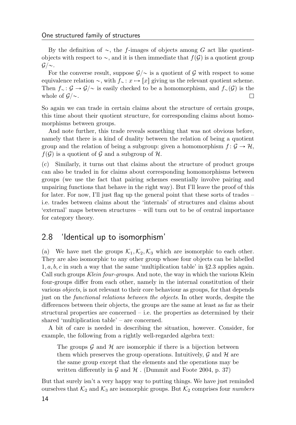By the definition of  $\sim$ , the f-images of objects among G act like quotientobjects with respect to  $\sim$ , and it is then immediate that  $f(\mathcal{G})$  is a quotient group  $G/\sim$ .

For the converse result, suppose  $\mathcal{G}/\sim$  is a quotient of G with respect to some equivalence relation  $\sim$ , with  $f_{\sim} : x \mapsto [x]$  giving us the relevant quotient scheme. Then  $f_{\sim} : \mathcal{G} \to \mathcal{G}/\sim$  is easily checked to be a homomorphism, and  $f_{\sim}(\mathcal{G})$  is the whole of  $\mathcal{G}/\sim$ . □

So again we can trade in certain claims about the structure of certain groups, this time about their quotient structure, for corresponding claims about homomorphisms between groups.

And note further, this trade reveals something that was not obvious before, namely that there is a kind of duality between the relation of being a quotient group and the relation of being a subgroup: given a homomorphism  $f: \mathcal{G} \to \mathcal{H}$ ,  $f(\mathcal{G})$  is a quotient of  $\mathcal G$  and a subgroup of  $\mathcal H$ .

(c) Similarly, it turns out that claims about the structure of product groups can also be traded in for claims about corresponding homomorphisms between groups (we use the fact that pairing schemes essentially involve pairing and unpairing functions that behave in the right way). But I'll leave the proof of this for later. For now, I'll just flag up the general point that these sorts of trades – i.e. trades between claims about the 'internals' of structures and claims about 'external' maps between structures – will turn out to be of central importance for category theory.

#### <span id="page-19-0"></span>2.8 'Identical up to isomorphism'

(a) We have met the groups  $\mathcal{K}_1, \mathcal{K}_2, \mathcal{K}_3$  which are isomorphic to each other. They are also isomorphic to any other group whose four objects can be labelled  $1, a, b, c$  in such a way that the same 'multiplication table' in §[2.3](#page-11-0) applies again. Call such groups Klein four-groups. And note, the way in which the various Klein four-groups differ from each other, namely in the internal constitution of their various objects, is not relevant to their core behaviour as groups, for that depends just on the functional relations between the objects. In other words, despite the differences between their objects, the groups are the same at least as far as their structural properties are concerned – i.e. the properties as determined by their shared 'multiplication table' – are concerned.

A bit of care is needed in describing the situation, however. Consider, for example, the following from a rightly well-regarded algebra text:

The groups  $\mathcal G$  and  $\mathcal H$  are isomorphic if there is a bijection between them which preserves the group operations. Intuitively,  $\mathcal G$  and  $\mathcal H$  are the same group except that the elements and the operations may be written differently in  $\mathcal G$  and  $\mathcal H$ . [\(Dummit and Foote](#page-31-3) [2004,](#page-31-3) p. 37)

But that surely isn't a very happy way to putting things. We have just reminded ourselves that  $\mathcal{K}_2$  and  $\mathcal{K}_3$  are isomorphic groups. But  $\mathcal{K}_2$  comprises four *numbers*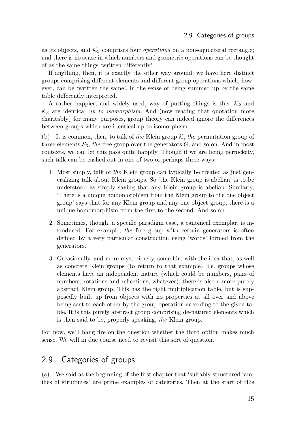as its objects, and  $K_3$  comprises four *operations* on a non-equilateral rectangle; and there is no sense in which numbers and geometric operations can be thought of as the same things 'written differently'.

If anything, then, it is exactly the other way around: we have here distinct groups comprising different elements and different group operations which, however, can be 'written the same', in the sense of being summed up by the same table differently interpreted.

A rather happier, and widely used, way of putting things is this:  $K_2$  and  $\mathcal{K}_3$  are identical up to isomorphism. And (now reading that quotation more charitably) for many purposes, group theory can indeed ignore the differences between groups which are identical up to isomorphism.

(b) It is common, then, to talk of the Klein group  $K$ , the permutation group of three elements  $S_3$ , the free group over the generators  $G$ , and so on. And in most contexts, we can let this pass quite happily. Though if we are being pernickety, such talk can be cashed out in one of two or perhaps three ways:

- 1. Most simply, talk of the Klein group can typically be treated as just generalizing talk about Klein groups. So 'the Klein group is abelian' is to be understood as simply saying that any Klein group is abelian. Similarly, 'There is a unique homomorphism from the Klein group to the one object group' says that for any Klein group and any one object group, there is a unique homomorphism from the first to the second. And so on.
- 2. Sometimes, though, a specific paradigm case, a canonical exemplar, is introduced. For example, the free group with certain generators is often defined by a very particular construction using 'words' formed from the generators.
- 3. Occasionally, and more mysteriously, some flirt with the idea that, as well as concrete Klein groups (to return to that example), i.e. groups whose elements have an independent nature (which could be numbers, pairs of numbers, rotations and reflections, whatever), there is also a more purely abstract Klein group. This has the right multiplication table, but is supposedly built up from objects with no properties at all over and above being sent to each other by the group operation according to the given table. It is this purely abstract group comprising de-natured elements which is then said to be, properly speaking, the Klein group.

For now, we'll hang fire on the question whether the third option makes much sense. We will in due course need to revisit this sort of question.

### <span id="page-20-0"></span>2.9 Categories of groups

(a) We said at the beginning of the first chapter that 'suitably structured families of structures' are prime examples of categories. Then at the start of this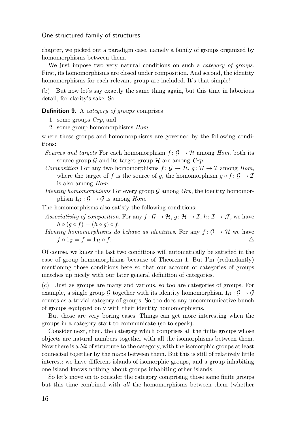chapter, we picked out a paradigm case, namely a family of groups organized by homomorphisms between them.

We just impose two very natural conditions on such a *category of groups*. First, its homomorphisms are closed under composition. And second, the identity homomorphisms for each relevant group are included. It's that simple!

(b) But now let's say exactly the same thing again, but this time in laborious detail, for clarity's sake. So:

Definition 9. A *category of groups* comprises

- 1. some groups Grp, and
- 2. some group homomorphisms Hom,

where these groups and homomorphisms are governed by the following conditions:

- Sources and targets For each homomorphism  $f: \mathcal{G} \to \mathcal{H}$  among Hom, both its source group  $\mathcal G$  and its target group  $\mathcal H$  are among  $Grp$ .
- Composition For any two homomorphisms  $f : \mathcal{G} \to \mathcal{H}$ ,  $q : \mathcal{H} \to \mathcal{I}$  among Hom, where the target of f is the source of g, the homomorphism  $g \circ f : \mathcal{G} \to \mathcal{I}$ is also among Hom.
- *Identity homomorphisms* For every group  $G$  among  $Grp$ , the identity homomorphism  $1_G : \mathcal{G} \to \mathcal{G}$  is among Hom.

The homomorphisms also satisfy the following conditions:

- Associativity of composition. For any  $f : \mathcal{G} \to \mathcal{H}$ ,  $g : \mathcal{H} \to \mathcal{I}$ ,  $h : \mathcal{I} \to \mathcal{J}$ , we have  $h \circ (g \circ f) = (h \circ g) \circ f.$
- Identity homomorphisms do behave as identities. For any  $f: \mathcal{G} \to \mathcal{H}$  we have  $f \circ 1_G = f = 1_H \circ f.$

Of course, we know the last two conditions will automatically be satisfied in the case of group homomorphisms because of Theorem [1.](#page-15-1) But I'm (redundantly) mentioning those conditions here so that our account of categories of groups matches up nicely with our later general definition of categories.

(c) Just as groups are many and various, so too are categories of groups. For example, a single group G together with its identity homomorphism  $1_G : \mathcal{G} \to \mathcal{G}$ counts as a trivial category of groups. So too does any uncommunicative bunch of groups equipped only with their identity homomorphisms.

But those are very boring cases! Things can get more interesting when the groups in a category start to communicate (so to speak).

Consider next, then, the category which comprises all the finite groups whose objects are natural numbers together with all the isomorphisms between them. Now there is a bit of structure to the category, with the isomorphic groups at least connected together by the maps between them. But this is still of relatively little interest: we have different islands of isomorphic groups, and a group inhabiting one island knows nothing about groups inhabiting other islands.

So let's move on to consider the category comprising those same finite groups but this time combined with all the homomorphisms between them (whether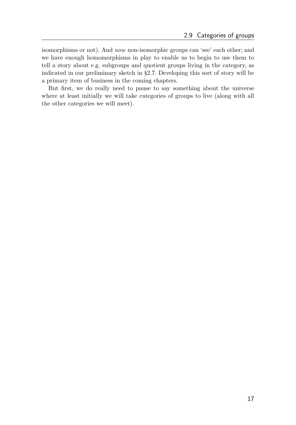isomorphisms or not). And now non-isomorphic groups can 'see' each other; and we have enough homomorphisms in play to enable us to begin to use them to tell a story about e.g. subgroups and quotient groups living in the category, as indicated in our preliminary sketch in §[2.7.](#page-18-0) Developing this sort of story will be a primary item of business in the coming chapters.

But first, we do really need to pause to say something about the universe where at least initially we will take categories of groups to live (along with all the other categories we will meet).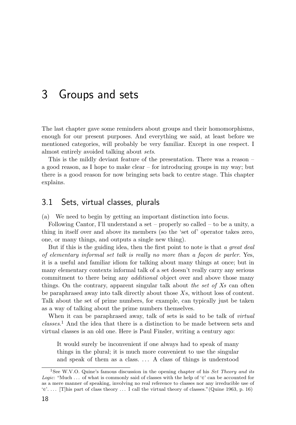## <span id="page-23-0"></span>3 Groups and sets

The last chapter gave some reminders about groups and their homomorphisms, enough for our present purposes. And everything we said, at least before we mentioned categories, will probably be very familiar. Except in one respect. I almost entirely avoided talking about sets.

This is the mildly deviant feature of the presentation. There was a reason – a good reason, as I hope to make clear – for introducing groups in my way; but there is a good reason for now bringing sets back to centre stage. This chapter explains.

### <span id="page-23-1"></span>3.1 Sets, virtual classes, plurals

(a) We need to begin by getting an important distinction into focus.

Following Cantor, I'll understand a set – properly so called – to be a unity, a thing in itself over and above its members (so the 'set of' operator takes zero, one, or many things, and outputs a single new thing).

But if this is the guiding idea, then the first point to note is that a great deal of elementary informal set talk is really no more than a façon de parler. Yes, it is a useful and familiar idiom for talking about many things at once; but in many elementary contexts informal talk of a set doesn't really carry any serious commitment to there being any *additional* object over and above those many things. On the contrary, apparent singular talk about the set of  $X_s$  can often be paraphrased away into talk directly about those Xs, without loss of content. Talk about the set of prime numbers, for example, can typically just be taken as a way of talking about the prime numbers themselves.

When it can be paraphrased away, talk of sets is said to be talk of *virtual* classes. [1](#page-23-2) And the idea that there is a distinction to be made between sets and virtual classes is an old one. Here is Paul Finsler, writing a century ago:

It would surely be inconvenient if one always had to speak of many things in the plural; it is much more convenient to use the singular and speak of them as a class. . . . A class of things is understood

<span id="page-23-2"></span><sup>&</sup>lt;sup>1</sup>See W.V.O. Quine's famous discussion in the opening chapter of his *Set Theory and its* Logic: "Much ... of what is commonly said of classes with the help of ' $\epsilon$ ' can be accounted for as a mere manner of speaking, involving no real reference to classes nor any irreducible use of  $\epsilon$ '... [T]his part of class theory ... I call the virtual theory of classes."[\(Quine](#page-31-4) [1963,](#page-31-4) p. 16)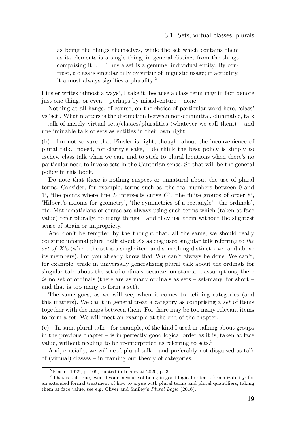as being the things themselves, while the set which contains them as its elements is a single thing, in general distinct from the things comprising it.... Thus a set is a genuine, individual entity. By contrast, a class is singular only by virtue of linguistic usage; in actuality, it almost always signifies a plurality.[2](#page-24-0)

Finsler writes 'almost always', I take it, because a class term may in fact denote just one thing, or even – perhaps by misadventure – none.

Nothing at all hangs, of course, on the choice of particular word here, 'class' vs 'set'. What matters is the distinction between non-committal, eliminable, talk – talk of merely virtual sets/classes/pluralities (whatever we call them) – and uneliminable talk of sets as entities in their own right.

(b) I'm not so sure that Finsler is right, though, about the inconvenience of plural talk. Indeed, for clarity's sake, I do think the best policy is simply to eschew class talk when we can, and to stick to plural locutions when there's no particular need to invoke sets in the Cantorian sense. So that will be the general policy in this book.

Do note that there is nothing suspect or unnatural about the use of plural terms. Consider, for example, terms such as 'the real numbers between 0 and 1', 'the points where line L intersects curve  $C'$ , 'the finite groups of order  $8'$ , 'Hilbert's axioms for geometry', 'the symmetries of a rectangle', 'the ordinals', etc. Mathematicians of course are always using such terms which (taken at face value) refer plurally, to many things – and they use them without the slightest sense of strain or impropriety.

And don't be tempted by the thought that, all the same, we should really construe informal plural talk about  $Xs$  as disguised singular talk referring to the set of X's (where the set is a single item and something distinct, over and above its members). For you already know that that can't always be done. We can't, for example, trade in universally generalizing plural talk about the ordinals for singular talk about the set of ordinals because, on standard assumptions, there is no set of ordinals (there are as many ordinals as sets – set-many, for short – and that is too many to form a set).

The same goes, as we will see, when it comes to defining categories (and this matters). We can't in general treat a category as comprising a set of items together with the maps between them. For there may be too many relevant items to form a set. We will meet an example at the end of the chapter.

(c) In sum, plural talk – for example, of the kind I used in talking about groups in the previous chapter – is in perfectly good logical order as it is, taken at face value, without needing to be re-interpreted as referring to sets.[3](#page-24-1)

And, crucially, we will need plural talk – and preferably not disguised as talk of (virtual) classes – in framing our theory of categories.

<span id="page-24-1"></span><span id="page-24-0"></span><sup>2</sup>[Finsler](#page-31-5) [1926,](#page-31-5) p. 106, quoted in [Incurvati](#page-31-6) [2020,](#page-31-6) p. 3.

<sup>3</sup>That is still true, even if your measure of being in good logical order is formalizability: for an extended formal treatment of how to argue with plural terms and plural quantifiers, taking them at face value, see e.g. Oliver and Smiley's Plural Logic [\(2016\)](#page-31-7).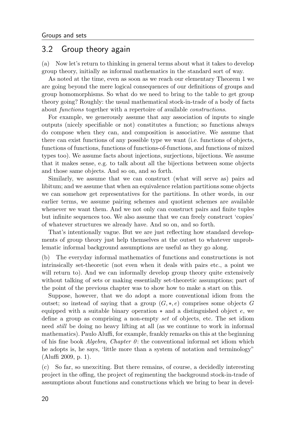### <span id="page-25-0"></span>3.2 Group theory again

(a) Now let's return to thinking in general terms about what it takes to develop group theory, initially as informal mathematics in the standard sort of way.

As noted at the time, even as soon as we reach our elementary Theorem [1](#page-15-1) we are going beyond the mere logical consequences of our definitions of groups and group homomorphisms. So what do we need to bring to the table to get group theory going? Roughly: the usual mathematical stock-in-trade of a body of facts about functions together with a repertoire of available constructions.

For example, we generously assume that any association of inputs to single outputs (nicely specifiable or not) constitutes a function; so functions always do compose when they can, and composition is associative. We assume that there can exist functions of any possible type we want (i.e. functions of objects, functions of functions, functions of functions-of-functions, and functions of mixed types too). We assume facts about injections, surjections, bijections. We assume that it makes sense, e.g. to talk about all the bijections between some objects and those same objects. And so on, and so forth.

Similarly, we assume that we can construct (what will serve as) pairs ad libitum; and we assume that when an equivalence relation partitions some objects we can somehow get representatives for the partitions. In other words, in our earlier terms, we assume pairing schemes and quotient schemes are available whenever we want them. And we not only can construct pairs and finite tuples but infinite sequences too. We also assume that we can freely construct 'copies' of whatever structures we already have. And so on, and so forth.

That's intentionally vague. But we are just reflecting how standard developments of group theory just help themselves at the outset to whatever unproblematic informal background assumptions are useful as they go along.

(b) The everyday informal mathematics of functions and constructions is not intrinsically set-theoretic (not even when it deals with pairs etc., a point we will return to). And we can informally develop group theory quite extensively without talking of sets or making essentially set-theoretic assumptions; part of the point of the previous chapter was to show how to make a start on this.

Suppose, however, that we do adopt a more conventional idiom from the outset; so instead of saying that a group  $(G, *, e)$  comprises some objects G equipped with a suitable binary operation  $*$  and a distinguished object  $e$ , we define a group as comprising a non-empty set of objects, etc. The set idiom need still be doing no heavy lifting at all (as we continue to work in informal mathematics). Paulo Aluffi, for example, frankly remarks on this at the beginning of his fine book  $Algebra$ , Chapter  $\theta$ : the conventional informal set idiom which he adopts is, he says, 'little more than a system of notation and terminology" [\(Aluffi](#page-31-8) [2009,](#page-31-8) p. 1).

(c) So far, so unexciting. But there remains, of course, a decidedly interesting project in the offing, the project of regimenting the background stock-in-trade of assumptions about functions and constructions which we bring to bear in devel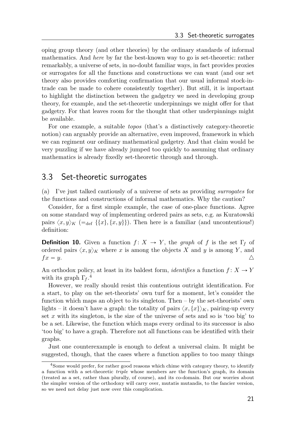oping group theory (and other theories) by the ordinary standards of informal mathematics. And here by far the best-known way to go is set-theoretic: rather remarkably, a universe of sets, in no-doubt familiar ways, in fact provides proxies or surrogates for all the functions and constructions we can want (and our set theory also provides comforting confirmation that our usual informal stock-intrade can be made to cohere consistently together). But still, it is important to highlight the distinction between the gadgetry we need in developing group theory, for example, and the set-theoretic underpinnings we might offer for that gadgetry. For that leaves room for the thought that other underpinnings might be available.

For one example, a suitable topos (that's a distinctively category-theoretic notion) can arguably provide an alternative, even improved, framework in which we can regiment our ordinary mathematical gadgetry. And that claim would be very puzzling if we have already jumped too quickly to assuming that ordinary mathematics is already fixedly set-theoretic through and through.

#### <span id="page-26-0"></span>3.3 Set-theoretic surrogates

(a) I've just talked cautiously of a universe of sets as providing surrogates for the functions and constructions of informal mathematics. Why the caution?

Consider, for a first simple example, the case of one-place functions. Agree on some standard way of implementing ordered pairs as sets, e.g. as Kuratowski pairs  $\langle x, y \rangle_K$  (=<sub>def</sub> {{ $x$ }, { $x, y$ }}). Then here is a familiar (and uncontentious!) definition:

**Definition 10.** Given a function  $f: X \to Y$ , the graph of f is the set Γ<sub>f</sub> of ordered pairs  $\langle x, y \rangle_K$  where x is among the objects X and y is among Y, and  $f x = y.$ 

An orthodox policy, at least in its baldest form, *identifies* a function  $f: X \to Y$ with its graph  $\Gamma_f$ .<sup>[4](#page-26-1)</sup>

However, we really should resist this contentious outright identification. For a start, to play on the set-theorists' own turf for a moment, let's consider the function which maps an object to its singleton. Then – by the set-theorists' own lights – it doesn't have a graph: the totality of pairs  $\langle x, \{x\} \rangle_K$ , pairing-up every set x with its singleton, is the size of the universe of sets and so is 'too big' to be a set. Likewise, the function which maps every ordinal to its successor is also 'too big' to have a graph. Therefore not all functions can be identified with their graphs.

Just one counterexample is enough to defeat a universal claim. It might be suggested, though, that the cases where a function applies to too many things

<span id="page-26-1"></span><sup>4</sup>Some would prefer, for rather good reasons which chime with category theory, to identify a function with a set-theoretic triple whose members are the function's graph, its domain (treated as a set, rather than plurally, of course), and its co-domain. But our worries about the simpler version of the orthodoxy will carry over, mutatis mutandis, to the fancier version, so we need not delay just now over this complication.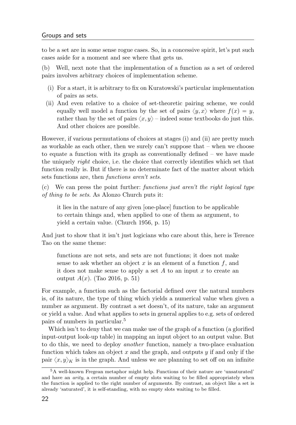to be a set are in some sense rogue cases. So, in a concessive spirit, let's put such cases aside for a moment and see where that gets us.

(b) Well, next note that the implementation of a function as a set of ordered pairs involves arbitrary choices of implementation scheme.

- (i) For a start, it is arbitrary to fix on Kuratowski's particular implementation of pairs as sets.
- (ii) And even relative to a choice of set-theoretic pairing scheme, we could equally well model a function by the set of pairs  $\langle y, x \rangle$  where  $f(x) = y$ , rather than by the set of pairs  $\langle x, y \rangle$  – indeed some textbooks do just this. And other choices are possible.

However, if various permutations of choices at stages (i) and (ii) are pretty much as workable as each other, then we surely can't suppose that  $-$  when we choose to equate a function with its graph as conventionally defined  $-$  we have made the uniquely right choice, i.e. the choice that correctly identifies which set that function really is. But if there is no determinate fact of the matter about which sets functions are, then functions aren't sets.

(c) We can press the point further: functions just aren't the right logical type of thing to be sets. As Alonzo Church puts it:

it lies in the nature of any given [one-place] function to be applicable to certain things and, when applied to one of them as argument, to yield a certain value. [\(Church](#page-31-9) [1956,](#page-31-9) p. 15)

And just to show that it isn't just logicians who care about this, here is Terence Tao on the same theme:

functions are not sets, and sets are not functions; it does not make sense to ask whether an object  $x$  is an element of a function  $f$ , and it does not make sense to apply a set  $A$  to an input  $x$  to create an output  $A(x)$ . [\(Tao](#page-31-10) [2016,](#page-31-10) p. 51)

For example, a function such as the factorial defined over the natural numbers is, of its nature, the type of thing which yields a numerical value when given a number as argument. By contrast a set doesn't, of its nature, take an argument or yield a value. And what applies to sets in general applies to e.g. sets of ordered pairs of numbers in particular.[5](#page-27-0)

Which isn't to deny that we can make use of the graph of a function (a glorified input-output look-up table) in mapping an input object to an output value. But to do this, we need to deploy another function, namely a two-place evaluation function which takes an object x and the graph, and outputs  $y$  if and only if the pair  $\langle x, y \rangle_K$  is in the graph. And unless we are planning to set off on an infinite

<span id="page-27-0"></span><sup>5</sup>A well-known Fregean metaphor might help. Functions of their nature are 'unsaturated' and have an arity, a certain number of empty slots waiting to be filled appropriately when the function is applied to the right number of arguments. By contrast, an object like a set is already 'saturated', it is self-standing, with no empty slots waiting to be filled.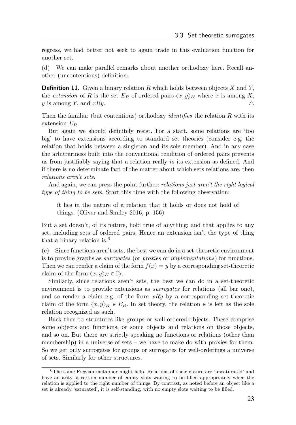regress, we had better not seek to again trade in this evaluation function for another set.

(d) We can make parallel remarks about another orthodoxy here. Recall another (uncontentious) definition:

**Definition 11.** Given a binary relation R which holds between objects X and Y, the extension of R is the set  $E_R$  of ordered pairs  $\langle x, y \rangle_K$  where x is among X, y is among Y, and  $xRy$ .

Then the familiar (but contentious) orthodoxy *identifies* the relation  $R$  with its extension  $E_R$ .

But again we should definitely resist. For a start, some relations are 'too big' to have extensions according to standard set theories (consider e.g. the relation that holds between a singleton and its sole member). And in any case the arbitrariness built into the conventional rendition of ordered pairs prevents us from justifiably saying that a relation really is its extension as defined. And if there is no determinate fact of the matter about which sets relations are, then relations aren't sets.

And again, we can press the point further: *relations just aren't the right logical* type of thing to be sets. Start this time with the following observation:

it lies in the nature of a relation that it holds or does not hold of things. [\(Oliver and Smiley](#page-31-7) [2016,](#page-31-7) p. 156)

But a set doesn't, of its nature, hold true of anything; and that applies to any set, including sets of ordered pairs. Hence an extension isn't the type of thing that a binary relation is.[6](#page-28-0)

(e) Since functions aren't sets, the best we can do in a set-theoretic environment is to provide graphs as surrogates (or proxies or implementations) for functions. Then we can render a claim of the form  $f(x) = y$  by a corresponding set-theoretic claim of the form  $\langle x, y \rangle_K \in \Gamma_f$ .

Similarly, since relations aren't sets, the best we can do in a set-theoretic environment is to provide extensions as *surrogates* for relations (all bar one), and so render a claim e.g. of the form  $xRy$  by a corresponding set-theoretic claim of the form  $\langle x, y \rangle_K \in E_R$ . In set theory, the relation  $\in$  is left as the sole relation recognized as such.

Back then to structures like groups or well-ordered objects. These comprise some objects and functions, or some objects and relations on those objects, and so on. But there are strictly speaking no functions or relations (other than membership) in a universe of sets – we have to make do with proxies for them. So we get only surrogates for groups or surrogates for well-orderings a universe of sets. Similarly for other structures.

<span id="page-28-0"></span><sup>6</sup>The same Fregean metaphor might help. Relations of their nature are 'unsaturated' and have an arity, a certain number of empty slots waiting to be filled appropriately when the relation is applied to the right number of things. By contrast, as noted before an object like a set is already 'saturated', it is self-standing, with no empty slots waiting to be filled.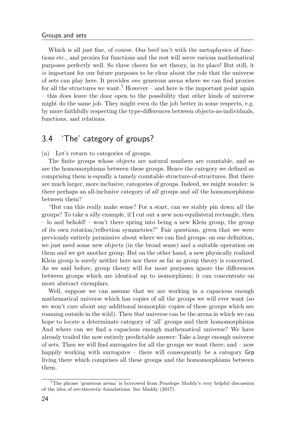#### Groups and sets

Which is all just fine, of course. Our beef isn't with the metaphysics of functions etc., and proxies for functions and the rest will serve various mathematical purposes perfectly well. So three cheers for set theory, in its place! But still, it is important for our future purposes to be clear about the role that the universe of sets can play here. It provides one generous arena where we can find proxies for all the structures we want.<sup>[7](#page-29-1)</sup> However – and here is the important point again – this does leave the door open to the possibility that other kinds of universe might do the same job. They might even do the job better in some respects, e.g. by more faithfully respecting the type-differences between objects-as-individuals, functions, and relations.

### <span id="page-29-0"></span>3.4 'The' category of groups?

(a) Let's return to categories of groups.

The finite groups whose objects are natural numbers are countable, and so are the homomorphisms between these groups. Hence the category we defined as comprising them is equally a tamely countable structure-of-structures. But there are much larger, more inclusive, categories of groups. Indeed, we might wonder: is there perhaps an all-inclusive category of all groups and all the homomorphisms between them?

"But can this really make sense? For a start, can we stably pin down all the groups? To take a silly example, if I cut out a new non-equilateral rectangle, then – lo and behold! – won't there spring into being a new Klein group, the group of its own rotation/reflection symmetries?" Fair questions, given that we were previously entirely permissive about where we can find groups: on our definition, we just need some new objects (in the broad sense) and a suitable operation on them and we get another group. But on the other hand, a new physically realized Klein group is surely neither here nor there as far as group theory is concerned. As we said before, group theory will for most purposes ignore the differences between groups which are identical up to isomorphism; it can concentrate on more abstract exemplars.

Well, suppose we can assume that we are working in a capacious enough mathematical universe which has copies of all the groups we will ever want (so we won't care about any additional isomorphic copies of these groups which are roaming outside in the wild). Then that universe can be the arena in which we can hope to locate a determinate category of 'all' groups and their homomorphisms And where can we find a capacious enough mathematical universe? We have already trailed the now entirely predictable answer: Take a large enough universe of sets. Then we will find surrogates for all the groups we want there; and – now happily working with surrogates – there will consequently be a category Grp living there which comprises all these groups and the homomorphisms between them.

<span id="page-29-1"></span><sup>7</sup>The phrase 'generous arena' is borrowed from Penelope Maddy's very helpful discussion of the idea of set-theoretic foundations. See [Maddy](#page-31-11) [\(2017\)](#page-31-11).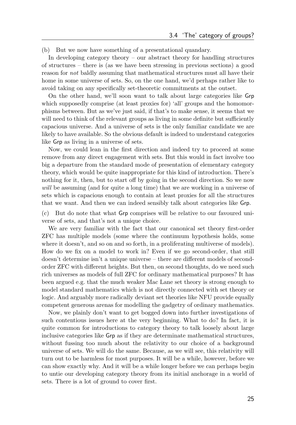(b) But we now have something of a presentational quandary.

In developing category theory – our abstract theory for handling structures of structures – there is (as we have been stressing in previous sections) a good reason for not baldly assuming that mathematical structures must all have their home in some universe of sets. So, on the one hand, we'd perhaps rather like to avoid taking on any specifically set-theoretic commitments at the outset.

On the other hand, we'll soon want to talk about large categories like Grp which supposedly comprise (at least proxies for) 'all' groups and the homomorphisms between. But as we've just said, if that's to make sense, it seems that we will need to think of the relevant groups as living in some definite but sufficiently capacious universe. And a universe of sets is the only familiar candidate we are likely to have available. So the obvious default is indeed to understand categories like Grp as living in a universe of sets.

Now, we could lean in the first direction and indeed try to proceed at some remove from any direct engagement with sets. But this would in fact involve too big a departure from the standard mode of presentation of elementary category theory, which would be quite inappropriate for this kind of introduction. There's nothing for it, then, but to start off by going in the second direction. So we now will be assuming (and for quite a long time) that we are working in a universe of sets which is capacious enough to contain at least proxies for all the structures that we want. And then we can indeed sensibly talk about categories like Grp.

(c) But do note that what Grp comprises will be relative to our favoured universe of sets, and that's not a unique choice.

We are very familiar with the fact that our canonical set theory first-order ZFC has multiple models (some where the continuum hypothesis holds, some where it doesn't, and so on and so forth, in a proliferating multiverse of models). How do we fix on a model to work in? Even if we go second-order, that still doesn't determine isn't a unique universe – there are different models of secondorder ZFC with different heights. But then, on second thoughts, do we need such rich universes as models of full ZFC for ordinary mathematical purposes? It has been argued e.g. that the much weaker Mac Lane set theory is strong enough to model standard mathematics which is not directly connected with set theory or logic. And arguably more radically deviant set theories like NFU provide equally competent generous arenas for modelling the gadgetry of ordinary mathematics.

Now, we plainly don't want to get bogged down into further investigations of such contentious issues here at the very beginning. What to do? In fact, it is quite common for introductions to category theory to talk loosely about large inclusive categories like Grp as if they are determinate mathematical structures, without fussing too much about the relativity to our choice of a background universe of sets. We will do the same. Because, as we will see, this relativity will turn out to be harmless for most purposes. It will be a while, however, before we can show exactly why. And it will be a while longer before we can perhaps begin to untie our developing category theory from its initial anchorage in a world of sets. There is a lot of ground to cover first.